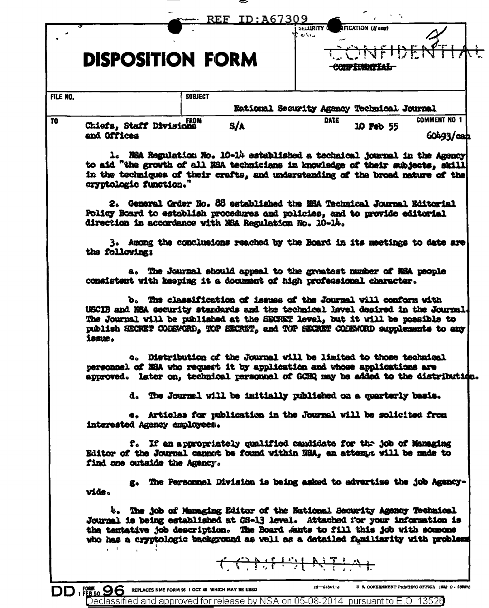|          | REF ID:A67309<br>IFICATION (If any)<br>Security (<br>$\mathbf{e}^{2}$ and $\mathbf{e}$                                                                                                                                                                                                                                             |
|----------|------------------------------------------------------------------------------------------------------------------------------------------------------------------------------------------------------------------------------------------------------------------------------------------------------------------------------------|
|          | <b>DISPOSITION FORM</b><br><del>-CONFITNINTIAL</del>                                                                                                                                                                                                                                                                               |
| FILE NO. | <b>SUBJECT</b><br>Eational Security Agancy Technical Journal                                                                                                                                                                                                                                                                       |
|          | <b>COMMENT NO 1</b><br><b>DATE</b><br><b>FROM</b><br>S/A<br>Chiefa, Staff Divisions<br>10 Feb 55<br>and Offices<br>$60493 / \text{c}$ ah                                                                                                                                                                                           |
|          | 1. NSA Regulation No. 10-14 established a technical journal in the Agency<br>to aid "the growth of all NSA technicians in knowledge of their subjects, skill<br>in the techniques of their crafts, and understanding of the broad nature of the<br>cryptologic function."                                                          |
|          | 2. General Order No. 88 astablished the ESA Technical Journal Editorial<br>Policy Board to establish procedures and policies, and to provide editorial<br>direction in accordance with NSA Regulation No. 10-14.                                                                                                                   |
|          | 3. Among the conclusions reached by the Board in its meetings to date are<br>the following:                                                                                                                                                                                                                                        |
|          | a. The Journal should appeal to the greatest number of NSA people<br>consistent with keeping it a document of high professional character.                                                                                                                                                                                         |
|          | b. The classification of issues of the Journal will conform with<br>USCIB and NSA security standards and the technical level desired in the Journal.<br>The Journal will be published at the SECRET level, but it will be possible to<br>publish SECRET CODEWORD, TOP EECRET, and TOP SECRET CODEWORD supplements to any<br>issue. |
|          | c. Distribution of the Journal will be limited to those technical<br>personnel of NSA who request it by application and whose applications are<br>approved. Later on, technical personnel of GCHQ may be added to the distribution.                                                                                                |
|          | d. The Journal will be initially published on a quarterly basis.                                                                                                                                                                                                                                                                   |
|          | e. Articles for publication in the Journal will be solicited from<br>interested Agency employees.                                                                                                                                                                                                                                  |
|          | f. If an appropriately qualified candidate for the job of Managing<br>Editor of the Journal cannot be found within NSA, an attempt will be made to<br>find one outside the Agency.                                                                                                                                                 |
|          | g. The Fersonnel Division is being asked to advertize the job Agency-<br>vide.                                                                                                                                                                                                                                                     |
|          | 4. The job of Managing Editor of the National Security Agency Technical<br>Journal is being established at GS-13 level. Attached for your information is<br>the tentative job description. The Board Jants to fill this job with someone                                                                                           |
|          | who has a cryptologic background as well as a datailed funiliarity with problems<br>$\mathbf{r} = \mathbf{r}$                                                                                                                                                                                                                      |

≂

DD 1 FEB 50 96 REPLACES NME FORM 96 1 OCT 46 WHICH MAY BE USED 16-34501-3 D & GOVERNMENT PRINTING OFFICE 1953<br>Declassified and approved for release by NSA on 05-08-2014 pursuant to E.O. 13526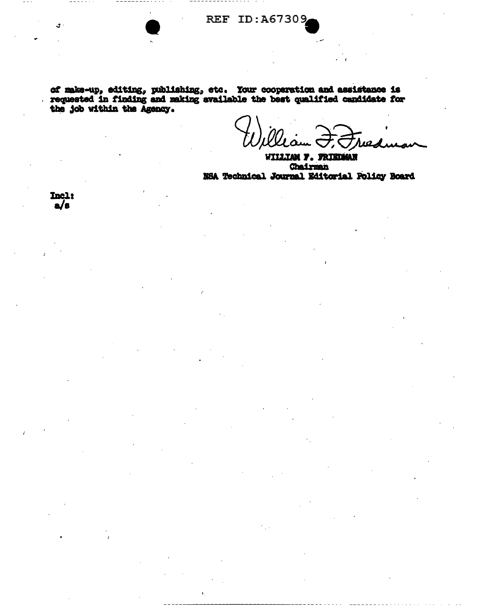of make-up, editing, publishing, etc. Your cooperation and assistance is requested in finding and making available the best qualified candidate for the job within the Agency.

WILLIAM F. FRIEDMAN **Chairman** NSA Technical Journal Editorial Policy Board

Incla  $a/e$ 

У.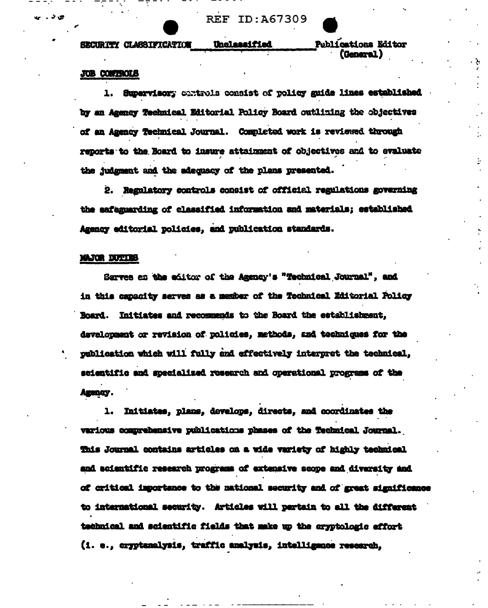**REF ID:A67309** 

Unclassified

SECURITY CLASSIFICATION

**Publications Editor** (General)

## **JOB CONTROLS**

1. Supervisory controls consist of policy guide lines established by an Agency Technical Editorial Policy Board outlining the objectives of an Azency Technical Journal. Completed work is reviewed through reports to the Board to insure attainment of objectives and to evaluate the judgment and the adequacy of the plans presented.

2. Regulatory controls consist of official regulations governing the safeguarding of classified information and materials; established Agency editorial policies, and publication standards.

## MAJOR DUTIES

Sarves as the editor of the Agency's "Technical Journal", and in this capacity serves as a member of the Technical Editorial Policy Board. Initiates and recommends to the Board the establishment, development or revision of policies, methods, and techniques for the publication which will fully and effectively interpret the technical, scientific and specialized research and operational programs of the Agency.

1. Initiates, plans, develops, directs, and coordinates the various comprehensive publications phases of the Technical Journal. This Journal contains articles on a wide variety of highly technical and scientific research programs of extensive scope and diversity and of critical importance to the national security and of great significance to international security. Articles will pertain to all the different technical and scientific fields that make up the cryptologic effort (i. e., cryptanalysis, traffic analysis, intelligence research,